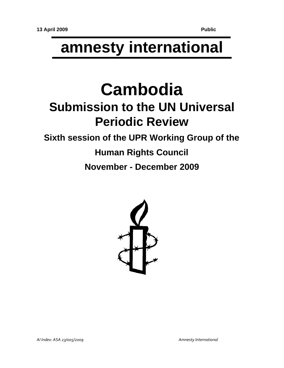# **amnesty international**

# **Cambodia Submission to the UN Universal Periodic Review**

# **Sixth session of the UPR Working Group of the**

# **Human Rights Council November - December 2009**

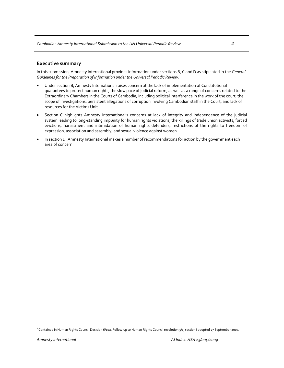# **Executive summary**

In this submission, Amnesty International provides information under sections B, C and D as stipulated in the *General Guidelines for the Preparation of Information under the Universal Periodic Review:*<sup>1</sup>

- Under section B, Amnesty International raises concern at the lack of implementation of Constitutional guarantees to protect human rights, the slow pace of judicial reform, as well as a range of concerns related to the Extraordinary Chambers in the Courts of Cambodia, including political interference in the work of the court, the scope of investigations, persistent allegations of corruption involving Cambodian staff in the Court, and lack of resources for the Victims Unit.
- Section C highlights Amnesty International's concerns at lack of integrity and independence of the judicial system leading to long‐standing impunity for human rights violations, the killings of trade union activists, forced evictions, harassment and intimidation of human rights defenders, restrictions of the rights to freedom of expression, association and assembly, and sexual violence against women.
- In section D, Amnesty International makes a number of recommendations for action by the government each area of concern.

<sup>&</sup>lt;sup>1</sup> Contained in Human Rights Council Decision 6/102, Follow-up to Human Rights Council resolution 5/1, section I adopted 27 September 2007.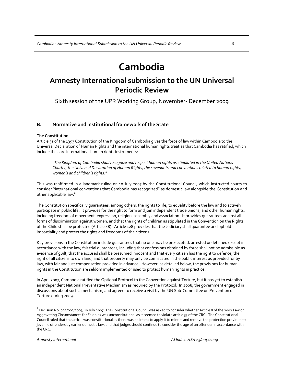# **Cambodia**

# **Amnesty International submission to the UN Universal Periodic Review**

Sixth session of the UPR Working Group, November‐ December 2009

# **B. Normative and institutional framework of the State**

### **The Constitution**

Article 31 of the 1993 Constitution of the Kingdom of Cambodia gives the force of law within Cambodia to the Universal Declaration of Human Rights and the international human rights treaties that Cambodia has ratified, which include the core international human rights instruments:

*"The Kingdom of Cambodia shall recognize and respect human rights asstipulated in the United Nations Charter, the Universal Declaration of Human Rights, the covenants and conventions related to human rights, women's and children's rights."*

This was reaffirmed in a landmark ruling on 10 July 2007 by the Constitutional Council, which instructed courts to consider "international conventions that Cambodia has recognized" as domestic law alongside the Constitution and other applicable law.<sup>2</sup>

The Constitution specifically guarantees, among others, the rights to life, to equality before the law and to actively participate in public life. It provides for the right to form and join independent trade unions, and other human rights, including freedom of movement, expression, religion, assembly and association. It provides guarantees against all forms of discrimination against women, and that the rights of children as stipulated in the Convention on the Rights of the Child shall be protected (Article 48). Article 128 provides that the Judiciary shall guarantee and uphold impartiality and protect the rights and freedoms of the citizens.

Key provisions in the Constitution include guarantees that no one may be prosecuted, arrested or detained except in accordance with the law; fair trial guarantees, including that confessions obtained by force shall not be admissible as evidence of guilt, that the accused shall be presumed innocent and that every citizen has the right to defence; the right of all citizens to own land, and that property may only be confiscated in the public interest as provided for by law, with fair and just compensation provided in advance. However, as detailed below, the provisions for human rights in the Constitution are seldom implemented or used to protect human rights in practice.

In April 2007, Cambodia ratified the Optional Protocol to the Convention against Torture, but it has yet to establish an independent National Preventative Mechanism as required by the Protocol. In 2008, the government engaged in discussions about such a mechanism, and agreed to receive a visit by the UN Sub‐Committee on Prevention of Torture during 2009.

 $^2$  Decision No. 092/003/2007, 10 July 2007. The Constitutional Council was asked to consider whether Article 8 of the 2002 Law on Aggravating Circumstances for Felonies was unconstitutional as it seemed to violate article 37 of the CRC. The Constitutional Council ruled that the article was constitutional as there was no intent to apply it to minors and remove the protection provided to juvenile offenders by earlier domestic law, and that judges should continue to consider the age of an offender in accordance with the CRC.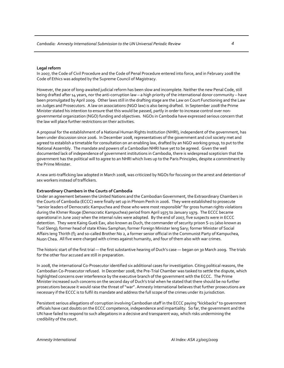#### **Legal reform**

In 2007, the Code of Civil Procedure and the Code of Penal Procedure entered into force, and in February 2008 the Code of Ethics was adopted by the Supreme Council of Magistracy.

However, the pace of long‐awaited judicial reform has been slow and incomplete. Neither the new Penal Code, still being drafted after 14 years, nor the anti-corruption law – a high priority of the international donor community – have been promulgated by April 2009. Other laws still in the drafting stage are the Law on Court Functioning and the Law on Judges and Prosecutors. A law on associations (NGO law) is also being drafted. In September 2008 the Prime Minister stated his intention to ensure that this would be passed, partly in order to increase control over non‐ governmental organization (NGO) funding and objectives. NGOs in Cambodia have expressed serious concern that the law will place further restrictions on their activities.

A proposal for the establishment of a National Human Rights Institution (NHRI), independent of the government, has been under discussion since 2006. In December 2008, representatives of the government and civil society met and agreed to establish a timetable for consultation on an enabling law, drafted by an NGO working group, to put to the National Assembly. The mandate and powers of a Cambodian NHRI have yet to be agreed. Given the well documented lack of independence of government institutions in Cambodia, there is widespread scepticism that the government has the political will to agree to an NHRI which lives up to the Paris Principles, despite a commitment by the Prime Minister.

A new anti-trafficking law adopted in March 2008, was criticized by NGOs for focusing on the arrest and detention of sex workers instead of traffickers.

### **Extraordinary Chambers in the Courts of Cambodia**

Under an agreement between the United Nations and the Cambodian Government, the Extraordinary Chambers in the Courts of Cambodia (ECCC) were finally set up in Phnom Penh in 2006. They were established to prosecute "senior leaders of Democratic Kampuchea and those who were most responsible" for gross human rights violations during the Khmer Rouge (Democratic Kampuchea) period from April 1975 to January 1979. The ECCC became operational in June 2007 when the internal rules were adopted. By the end of 2007, five suspects were in ECCC detention. They were Kaing Guek Eav, also known as Duch, the commander of security prison S‐21 (also known as Tuol Sleng); former head of state Khieu Samphan; former Foreign Minister Ieng Sary; former Minister of Social Affairs Ieng Thirith (f); and so‐called Brother No 2, a former senior official in the Communist Party of Kampuchea, Nuon Chea. All five were charged with crimes against humanity, and four of them also with war crimes.

The historic start of the first trial — the first substantive hearing of Duch's case — began on 30 March 2009. The trials for the other four accused are still in preparation.

In 2008, the international Co‐Prosecutor identified six additional cases for investigation. Citing political reasons, the Cambodian Co‐Prosecutor refused. In December 2008, the Pre‐Trial Chamber was tasked to settle the dispute, which highlighted concerns over interference by the executive branch of the government with the ECCC. The Prime Minister increased such concerns on the second day of Duch's trial when he stated that there should be no further prosecutions because it would raise the threat of "war". Amnesty International believes that further prosecutions are necessary if the ECCC is to fulfil its mandate and address the full scope of the crimes under its jurisdiction.

Persistent serious allegations of corruption involving Cambodian staff in the ECCC paying "kickbacks" to government officials have cast doubts on the ECCC competence, independence and impartiality. So far, the government and the UN have failed to respond to such allegations in a decisive and transparent way, which risks undermining the credibility of the court.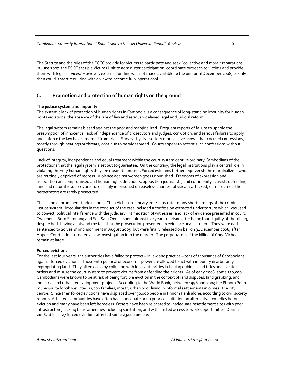The Statute and the rules of the ECCC provide for victims to participate and seek "collective and moral" reparations. In June 2007, the ECCC set up a Victims Unit to administer participation, coordinate outreach to victims and provide them with legal services. However, external funding was not made available to the unit until December 2008, so only then could it start recruiting with a view to become fully operational.

# **C. Promotion and protection of human rights on the ground**

# **The justice system and impunity**

The systemic lack of protection of human rights in Cambodia is a consequence of long‐standing impunity for human rights violations, the absence of the rule of law and seriously delayed legal and judicial reform.

The legal system remains biased against the poor and marginalized. Frequent reports of failure to uphold the presumption of innocence; lack of independence of prosecutors and judges; corruption; and serious failures to apply and enforce the law have emerged from trials. Surveys by civil society groups have shown that coerced confessions, mostly through beatings or threats, continue to be widespread. Courts appear to accept such confessions without questions.

Lack of integrity, independence and equal treatment within the court system deprive ordinary Cambodians of the protections that the legal system is set out to guarantee. On the contrary, the legal institutions play a central role in violating the very human rights they are meant to protect. Forced evictions further impoverish the marginalized, who are routinely deprived of redress. Violence against women goes unpunished. Freedoms of expression and association are compromised and human rights defenders, opposition journalists, and community activists defending land and natural resources are increasingly imprisoned on baseless charges, physically attacked, or murdered. The perpetrators are rarely prosecuted.

The killing of prominent trade unionist Chea Vichea in January 2004 illustrates many shortcomings of the criminal justice system. Irregularities in the conduct of the case included a confession extracted under torture which was used to convict; political interference with the judiciary; intimidation of witnesses; and lack of evidence presented in court. Two men – Born Samnang and Sok Sam Oeun ‐ spent almost five years in prison after being found guilty of the killing, despite both having alibis and the fact that the prosecution presented no evidence against them. They were each sentenced to 20 years' imprisonment in August 2005, but were finally released on bail on 31 December 2008, after Appeal Court judges ordered a new investigation into the murder. The perpetrators of the killing of Chea Vichea remain at large.

## **Forced evictions**

For the last four years, the authorities have failed to protect – in law and practice – tens of thousands of Cambodians against forced evictions. Those with political or economic power are allowed to act with impunity in arbitrarily expropriating land. They often do so by colluding with local authorities in issuing dubious land titles and eviction orders and misuse the court system to prevent victims from defending their rights. As of early 2008, some 150,000 Cambodians were known to be at risk of being forcible eviction in the context of land disputes, land grabbing, and industrial and urban redevelopment projects. According to the World Bank, between 1998 and 2003 the Phnom Penh municipality forcibly evicted 11,000 families, mostly urban poor living in informal settlements in or near the city centre. Since then forced evictions have displaced over 30,000 people in Phnom Penh alone, according to civil society reports. Affected communities have often had inadequate or no prior consultation on alternative remedies before eviction and many have been left homeless. Others have been relocated to inadequate resettlement sites with poor infrastructure, lacking basic amenities including sanitation, and with limited access to work opportunities. During 2008, at least 27 forced evictions affected some 23,000 people.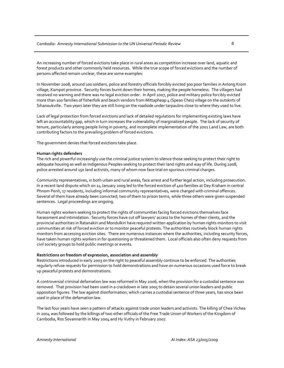An increasing number of forced evictions take place in rural areas as competition increase over land, aquatic and forest products and other commonly held resources. While the true scope of forced evictions and the number of persons affected remain unclear, these are some examples:

In November 2008, around 100 soldiers, police and forestry officials forcibly evicted 300 poor families in Anlong Krom village, Kampot province. Security forces burnt down their homes, making the people homeless. The villagers had received no warning and there was no legal eviction order. In April 2007, police and military police forcibly evicted more than 100 families of fisherfolk and beach vendors from Mittapheap 4 (Spean Ches) village on the outskirts of Sihanoukville. Two years later they are still living on the roadside under tarpaulins close to where they used to live.

Lack of legal protection from forced evictions and lack of detailed regulations for implementing existing laws have left an accountability gap, which in turn increases the vulnerability of marginalized people. The lack of security of tenure, particularly among people living in poverty, and incomplete implementation of the 2001 Land Law, are both contributing factors to the prevailing problem of forced evictions.

The government denies that forced evictions take place.

### **Human rights defenders**

The rich and powerful increasingly use the criminal justice system to silence those seeking to protect their right to adequate housing as well as Indigenous Peoples seeking to protect their land rights and way of life. During 2008, police arrested around 150 land activists, many of whom now face trial on spurious criminal charges.

Community representatives, in both urban and rural areas, face arrest and further legal action, including prosecution. In a recent land dispute which on 24 January 2009 led to the forced eviction of 400 families at Dey Kraham in central Phnom Penh, 17 residents, including informal community representatives, were charged with criminal offences. Several of them have already been convicted; two of them to prison terms, while three others were given suspended sentences. Legal proceedings are ongoing.

Human rights workers seeking to protect the rights of communities facing forced evictions themselves face harassment and intimidation. Security forces have cut off lawyers' access to the homes of their clients, and the provincial authorities in Ratanakiri and Mondulkiri have required written application by human rights monitors to visit communities at risk of forced eviction or to monitor peaceful protests. The authorities routinely block human rights monitors from accessing eviction sites. There are numerous instances where the authorities, including security forces, have taken human rights workers in for questioning or threatened them. Local officials also often deny requests from civil society groups to hold public meetings or events.

## **Restrictions on freedom of expression, association and assembly**

Restrictions introduced in early 2003 on the right to peaceful assembly continue to be enforced. The authorities regularly refuse requests for permission to hold demonstrations and have on numerous occasions used force to break up peaceful protests and demonstrations.

A controversial criminal defamation law was reformed in May 2006, when the provision for a custodial sentence was removed. That provision had been used in a crackdown in late 2005 to detain several union leaders and public opposition figures. The law against disinformation, which carries a custodial sentence of three years, has since been used in place of the defamation law.

The last four years have seen a pattern of attacks against trade union leaders and activists. The killing of Chea Vichea in 2004 was followed by the killings of two other officials of the Free Trade Union of Workers of the Kingdom of Cambodia, Ros Sovannarith in May 2004 and Hy Vuthy in February 2007.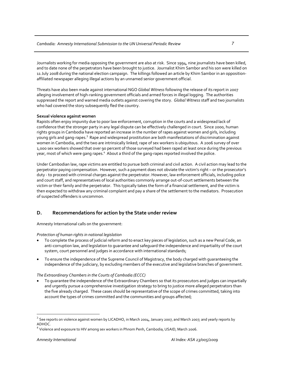Journalists working for media opposing the government are also at risk. Since 1994, nine journalists have been killed, and to date none of the perpetrators have been brought to justice. Journalist Khim Sambor and his son were killed on 11 July 2008 during the national election campaign. The killings followed an article by Khim Sambor in an opposition‐ affiliated newspaper alleging illegal actions by an unnamed senior government official.

Threats have also been made against international NGO *Global Witness* following the release of its report in 2007 alleging involvement of high‐ranking government officials and armed forces in illegal logging. The authorities suppressed the report and warned media outlets against covering the story. *Global Witness* staff and two journalists who had covered the story subsequently fled the country.

# **Sexual violence against women**

Rapists often enjoy impunity due to poor law enforcement, corruption in the courts and a widespread lack of confidence that the stronger party in any legal dispute can be effectively challenged in court. Since 2000, human rights groups in Cambodia have reported an increase in the number of rapes against women and girls, including young girls and gang-rapes.<sup>3</sup> Rape and widespread prostitution are both manifestations of discrimination against women in Cambodia, and the two are intrinsically linked; rape of sex workers is ubiquitous. A 2006 survey of over 1,000 sex workers showed that over 90 percent of those surveyed had been raped at least once during the previous year, most of which were gang rapes. $^4\,$  About a third of the gang-rapes reported involved the police.  $\overline{\phantom{a}}$ 

Under Cambodian law, rape victims are entitled to pursue both criminal and civil action. A civil action may lead to the perpetrator paying compensation. However, such a payment does not obviate the victim's right – or the prosecutor's duty - to proceed with criminal charges against the perpetrator. However, law enforcement officials, including police and court staff, and representatives of local authorities commonly arrange out‐of‐court settlements between the victim or their family and the perpetrator. This typically takes the form of a financial settlement, and the victim is then expected to withdraw any criminal complaint and pay a share of the settlement to the mediators. Prosecution of suspected offenders is uncommon.

# **D. Recommendations for action by the State under review**

Amnesty International calls on the government:

*Protection of human rights in national legislation*

- To complete the process of judicial reform and to enact key pieces of legislation, such as a new Penal Code, an anti‐corruption law, and legislation to guarantee and safeguard the independence and impartiality of the court system, court personnel and judges in accordance with international standards;
- To ensure the independence of the Supreme Council of Magistracy, the body charged with guaranteeing the independence of the judiciary, by excluding members of the executive and legislative branches of government.

*The Extraordinary Chambers in the Courts of Cambodia (ECCC)*

• To guarantee the independence of the Extraordinary Chambers so that its prosecutors and judges can impartially and urgently pursue a comprehensive investigation strategy to bring to justice more alleged perpetrators than the five already charged. These cases should be representative of the scope of crimes committed, taking into account the types of crimes committed and the communities and groups affected;

 $3$  See reports on violence against women by LICADHO, in March 2004, January 2007, and March 2007; and yearly reports by ADHOC.

 $^4$  Violence and exposure to HIV among sex workers in Phnom Penh, Cambodia, USAID, March 2006.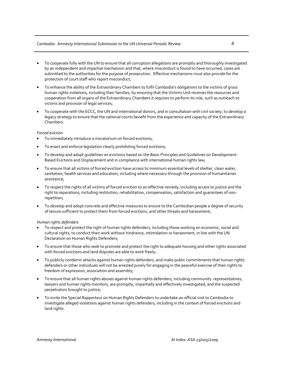# *Cambodia: Amnesty International Submission to the UN Universal Periodic Review 8*

- To cooperate fully with the UN to ensure that all corruption allegations are promptly and thoroughly investigated by an independent and impartial mechanism and that, where misconduct is found to have occurred, cases are submitted to the authorities for the purpose of prosecution. Effective mechanisms must also provide for the protection of court staff who report misconduct;
- To enhance the ability of the Extraordinary Chambers to fulfil Cambodia's obligations to the victims of gross human rights violations, including their families, by ensuring that the Victims Unit receives the resources and cooperation from all organs of the Extraordinary Chambers it requires to perform its role, such as outreach to victims and provision of legal services;
- To cooperate with the ECCC, the UN and international donors, and in consultation with civil society, to develop a legacy strategy to ensure that the national courts benefit from the experience and capacity of the Extraordinary Chambers.

### *Forced eviction*

- To immediately introduce a moratorium on forced evictions;
- To enact and enforce legislation clearly prohibiting forced evictions;
- To develop and adopt guidelines on evictions based on the Basic Principles and Guidelines on Development‐ Based Evictions and Displacement and in compliance with international human rights law;
- To ensure that all victims of forced eviction have access to minimum essential levels of shelter, clean water, sanitation, health services and education, including where necessary through the provision of humanitarian assistance;
- To respect the rights of all victims of forced eviction to an effective remedy, including access to justice and the right to reparations, including restitution, rehabilitation, compensation, satisfaction and guarantees of non‐ repetition;
- To develop and adopt concrete and effective measures to ensure to the Cambodian people a degree of security of tenure sufficient to protect them from forced evictions, and other threats and harassment;

## *Human rights defenders*

- To respect and protect the right of human rights defenders, including those working on economic, social and cultural rights, to conduct their work without hindrance, intimidation or harassment, in line with the UN Declaration on Human Rights Defenders;
- To ensure that those who seek to promote and protect the right to adequate housing and other rights associated with forced evictions and land disputes are able to work freely;
- To publicly condemn attacks against human rights defenders, and make public commitments that human rights defenders or other individuals will not be arrested purely for engaging in the peaceful exercise of their rights to freedom of expression, association and assembly;
- To ensure that all human rights abuses against human rights defenders, including community representatives, lawyers and human rights monitors, are promptly, impartially and effectively investigated, and the suspected perpetrators brought to justice;
- To invite the Special Rapporteur on Human Rights Defenders to undertake an official visit to Cambodia to investigate alleged violations against human rights defenders, including in the context of forced evictions and land rights.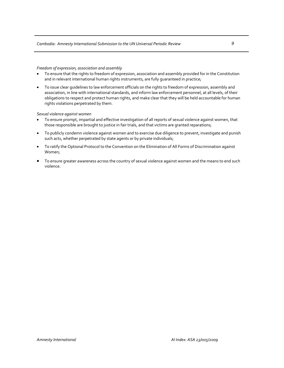*Freedom of expression, association and assembly*

- To ensure that the rights to freedom of expression, association and assembly provided for in the Constitution and in relevant international human rights instruments, are fully quaranteed in practice;
- To issue clear guidelines to law enforcement officials on the rights to freedom of expression, assembly and association, in line with international standards, and inform law enforcement personnel, at all levels, of their obligations to respect and protect human rights, and make clear that they will be held accountable for human rights violations perpetrated by them.

*Sexual violence against women*

- To ensure prompt, impartial and effective investigation of all reports of sexual violence against women, that those responsible are brought to justice in fair trials, and that victims are granted reparations;
- To publicly condemn violence against women and to exercise due diligence to prevent, investigate and punish such acts, whether perpetrated by state agents or by private individuals;
- To ratify the Optional Protocol to the Convention on the Elimination of All Forms of Discrimination against Women;
- To ensure greater awareness across the country of sexual violence against women and the means to end such violence.